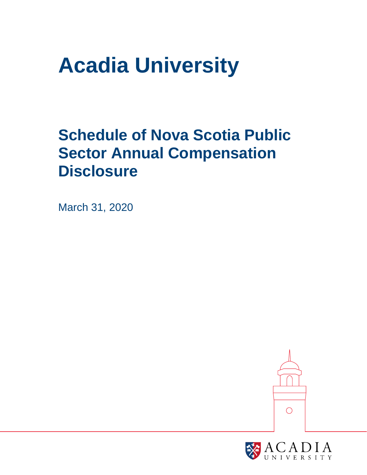# **Acadia University**

## **Schedule of Nova Scotia Public Sector Annual Compensation Disclosure**

March 31, 2020



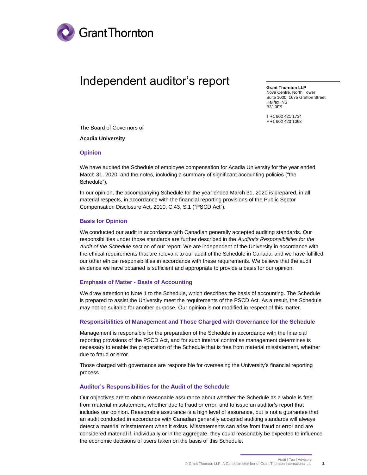

### Independent auditor's report

**Grant Thornton LLP** Nova Centre, North Tower Suite 1000, 1675 Grafton Street Halifax, NS B3J 0E9

T +1 902 421 1734 F +1 902 420 1068

The Board of Governors of

#### **Acadia University**

#### **Opinion**

We have audited the Schedule of employee compensation for Acadia University for the year ended March 31, 2020, and the notes, including a summary of significant accounting policies ("the Schedule").

In our opinion, the accompanying Schedule for the year ended March 31, 2020 is prepared, in all material respects, in accordance with the financial reporting provisions of the Public Sector Compensation Disclosure Act, 2010, C.43, S.1 ("PSCD Act").

#### **Basis for Opinion**

We conducted our audit in accordance with Canadian generally accepted auditing standards. Our responsibilities under those standards are further described in the *Auditor's Responsibilities for the Audit of the Schedule* section of our report. We are independent of the University in accordance with the ethical requirements that are relevant to our audit of the Schedule in Canada, and we have fulfilled our other ethical responsibilities in accordance with these requirements. We believe that the audit evidence we have obtained is sufficient and appropriate to provide a basis for our opinion.

#### **Emphasis of Matter - Basis of Accounting**

We draw attention to Note 1 to the Schedule, which describes the basis of accounting. The Schedule is prepared to assist the University meet the requirements of the PSCD Act. As a result, the Schedule may not be suitable for another purpose. Our opinion is not modified in respect of this matter.

#### **Responsibilities of Management and Those Charged with Governance for the Schedule**

Management is responsible for the preparation of the Schedule in accordance with the financial reporting provisions of the PSCD Act, and for such internal control as management determines is necessary to enable the preparation of the Schedule that is free from material misstatement, whether due to fraud or error.

Those charged with governance are responsible for overseeing the University's financial reporting process.

#### **Auditor's Responsibilities for the Audit of the Schedule**

Our objectives are to obtain reasonable assurance about whether the Schedule as a whole is free from material misstatement, whether due to fraud or error, and to issue an auditor's report that includes our opinion. Reasonable assurance is a high level of assurance, but is not a guarantee that an audit conducted in accordance with Canadian generally accepted auditing standards will always detect a material misstatement when it exists. Misstatements can arise from fraud or error and are considered material if, individually or in the aggregate, they could reasonably be expected to influence the economic decisions of users taken on the basis of this Schedule.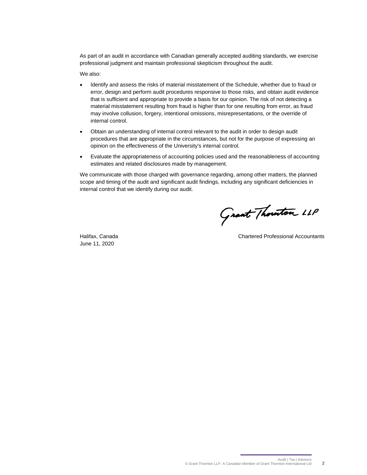As part of an audit in accordance with Canadian generally accepted auditing standards, we exercise professional judgment and maintain professional skepticism throughout the audit.

We also:

- Identify and assess the risks of material misstatement of the Schedule, whether due to fraud or error, design and perform audit procedures responsive to those risks, and obtain audit evidence that is sufficient and appropriate to provide a basis for our opinion. The risk of not detecting a material misstatement resulting from fraud is higher than for one resulting from error, as fraud may involve collusion, forgery, intentional omissions, misrepresentations, or the override of internal control.
- Obtain an understanding of internal control relevant to the audit in order to design audit procedures that are appropriate in the circumstances, but not for the purpose of expressing an opinion on the effectiveness of the University's internal control.
- Evaluate the appropriateness of accounting policies used and the reasonableness of accounting estimates and related disclosures made by management.

We communicate with those charged with governance regarding, among other matters, the planned scope and timing of the audit and significant audit findings, including any significant deficiencies in internal control that we identify during our audit.

Grant Thouston LLP

June 11, 2020

Halifax, Canada Chartered Professional Accountants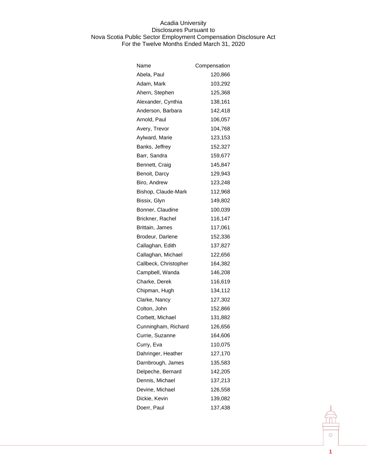| Name                  | Compensation |
|-----------------------|--------------|
| Abela, Paul           | 120,866      |
| Adam, Mark            | 103,292      |
| Ahern, Stephen        | 125,368      |
| Alexander, Cynthia    | 138,161      |
| Anderson, Barbara     | 142,418      |
| Arnold, Paul          | 106,057      |
| Avery, Trevor         | 104,768      |
| Aylward, Marie        | 123,153      |
| Banks, Jeffrey        | 152,327      |
| Barr, Sandra          | 159,677      |
| Bennett, Craig        | 145,847      |
| Benoit, Darcy         | 129,943      |
| Biro, Andrew          | 123,248      |
| Bishop, Claude-Mark   | 112,968      |
| Bissix, Glyn          | 149,802      |
| Bonner, Claudine      | 100,039      |
| Brickner, Rachel      | 116,147      |
| Brittain, James       | 117,061      |
| Brodeur, Darlene      | 152,336      |
| Callaghan, Edith      | 137,827      |
| Callaghan, Michael    | 122,656      |
| Callbeck, Christopher | 164,382      |
| Campbell, Wanda       | 146,208      |
| Charke, Derek         | 116,619      |
| Chipman, Hugh         | 134,112      |
| Clarke, Nancy         | 127,302      |
| Colton, John          | 152,866      |
| Corbett, Michael      | 131,882      |
| Cunningham, Richard   | 126,656      |
| Currie, Suzanne       | 164,606      |
| Curry, Eva            | 110,075      |
| Dahringer, Heather    | 127,170      |
| Darnbrough, James     | 135,583      |
| Delpeche, Bernard     | 142,205      |
| Dennis, Michael       | 137,213      |
| Devine, Michael       | 126,558      |
| Dickie, Kevin         | 139,082      |
| Doerr, Paul           | 137,438      |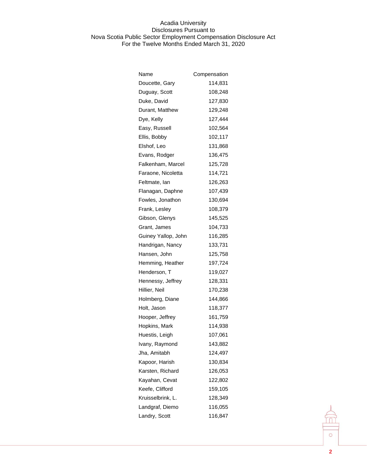| Name                | Compensation |
|---------------------|--------------|
| Doucette, Gary      | 114,831      |
| Duguay, Scott       | 108,248      |
| Duke, David         | 127,830      |
| Durant, Matthew     | 129,248      |
| Dye, Kelly          | 127,444      |
| Easy, Russell       | 102,564      |
| Ellis, Bobby        | 102,117      |
| Elshof, Leo         | 131,868      |
| Evans, Rodger       | 136,475      |
| Falkenham, Marcel   | 125,728      |
| Faraone, Nicoletta  | 114,721      |
| Feltmate, lan       | 126,263      |
| Flanagan, Daphne    | 107,439      |
| Fowles, Jonathon    | 130,694      |
| Frank, Lesley       | 108,379      |
| Gibson, Glenys      | 145,525      |
| Grant, James        | 104,733      |
| Guiney Yallop, John | 116,285      |
| Handrigan, Nancy    | 133,731      |
| Hansen, John        | 125,758      |
| Hemming, Heather    | 197,724      |
| Henderson, T        | 119,027      |
| Hennessy, Jeffrey   | 128,331      |
| Hillier, Neil       | 170,238      |
| Holmberg, Diane     | 144,866      |
| Holt, Jason         | 118,377      |
| Hooper, Jeffrey     | 161,759      |
| Hopkins, Mark       | 114,938      |
| Huestis, Leigh      | 107,061      |
| Ivany, Raymond      | 143,882      |
| Jha, Amitabh        | 124,497      |
| Kapoor, Harish      | 130,834      |
| Karsten, Richard    | 126,053      |
| Kayahan, Cevat      | 122,802      |
| Keefe, Clifford     | 159,105      |
| Kruisselbrink, L.   | 128,349      |
| Landgraf, Diemo     | 116,055      |
| Landry, Scott       | 116,847      |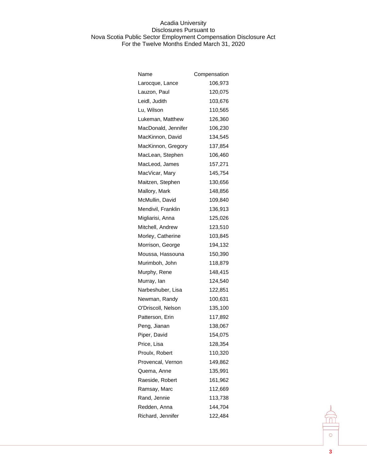| Name                | Compensation |
|---------------------|--------------|
| Larocque, Lance     | 106,973      |
| Lauzon, Paul        | 120,075      |
| Leidl, Judith       | 103,676      |
| Lu, Wilson          | 110,565      |
| Lukeman, Matthew    | 126,360      |
| MacDonald, Jennifer | 106,230      |
| MacKinnon, David    | 134,545      |
| MacKinnon, Gregory  | 137,854      |
| MacLean, Stephen    | 106,460      |
| MacLeod, James      | 157,271      |
| MacVicar, Mary      | 145,754      |
| Maitzen, Stephen    | 130,656      |
| Mallory, Mark       | 148,856      |
| McMullin, David     | 109,840      |
| Mendivil, Franklin  | 136,913      |
| Migliarisi, Anna    | 125,026      |
| Mitchell, Andrew    | 123,510      |
| Morley, Catherine   | 103,845      |
| Morrison, George    | 194,132      |
| Moussa, Hassouna    | 150,390      |
| Murimboh, John      | 118,879      |
| Murphy, Rene        | 148,415      |
| Murray, lan         | 124,540      |
| Narbeshuber, Lisa   | 122,851      |
| Newman, Randy       | 100,631      |
| O'Driscoll, Nelson  | 135,100      |
| Patterson, Erin     | 117,892      |
| Peng, Jianan        | 138,067      |
| Piper, David        | 154,075      |
| Price, Lisa         | 128,354      |
| Proulx, Robert      | 110,320      |
| Provencal, Vernon   | 149,862      |
| Quema, Anne         | 135,991      |
| Raeside, Robert     | 161,962      |
| Ramsay, Marc        | 112,669      |
| Rand, Jennie        | 113,738      |
| Redden, Anna        | 144,704      |
| Richard, Jennifer   | 122,484      |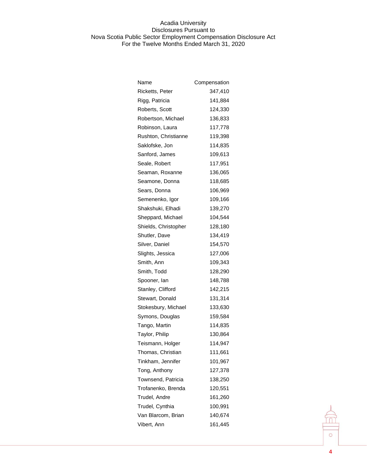| Name                   | Compensation |
|------------------------|--------------|
| <b>Ricketts, Peter</b> | 347,410      |
| Rigg, Patricia         | 141,884      |
| Roberts, Scott         | 124,330      |
| Robertson, Michael     | 136,833      |
| Robinson, Laura        | 117,778      |
| Rushton, Christianne   | 119,398      |
| Saklofske, Jon         | 114,835      |
| Sanford, James         | 109,613      |
| Seale, Robert          | 117,951      |
| Seaman, Roxanne        | 136,065      |
| Seamone, Donna         | 118,685      |
| Sears, Donna           | 106,969      |
| Semenenko, Igor        | 109,166      |
| Shakshuki, Elhadi      | 139,270      |
| Sheppard, Michael      | 104,544      |
| Shields, Christopher   | 128,180      |
| Shutler, Dave          | 134,419      |
| Silver, Daniel         | 154,570      |
| Slights, Jessica       | 127,006      |
| Smith, Ann             | 109,343      |
| Smith, Todd            | 128,290      |
| Spooner, lan           | 148,788      |
| Stanley, Clifford      | 142,215      |
| Stewart, Donald        | 131,314      |
| Stokesbury, Michael    | 133,630      |
| Symons, Douglas        | 159,584      |
| Tango, Martin          | 114,835      |
| Taylor, Philip         | 130,864      |
| Teismann, Holger       | 114,947      |
| Thomas, Christian      | 111,661      |
| Tinkham, Jennifer      | 101,967      |
| Tong, Anthony          | 127,378      |
| Townsend, Patricia     | 138,250      |
| Trofanenko, Brenda     | 120,551      |
| Trudel, Andre          | 161,260      |
| Trudel, Cynthia        | 100,991      |
| Van Blarcom, Brian     | 140,674      |
| Vibert, Ann            | 161,445      |

**4**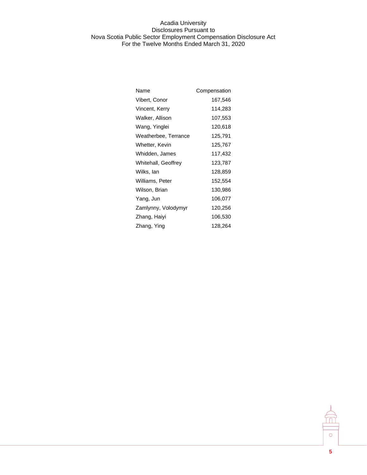| Name                 | Compensation |
|----------------------|--------------|
| Vibert, Conor        | 167,546      |
| Vincent, Kerry       | 114,283      |
| Walker, Allison      | 107,553      |
| Wang, Yinglei        | 120,618      |
| Weatherbee, Terrance | 125,791      |
| Whetter, Kevin       | 125,767      |
| Whidden, James       | 117,432      |
| Whitehall, Geoffrey  | 123,787      |
| Wilks, lan           | 128,859      |
| Williams, Peter      | 152,554      |
| Wilson, Brian        | 130,986      |
| Yang, Jun            | 106,077      |
| Zamlynny, Volodymyr  | 120,256      |
| Zhang, Haiyi         | 106,530      |
| Zhang, Ying          | 128,264      |

**5**